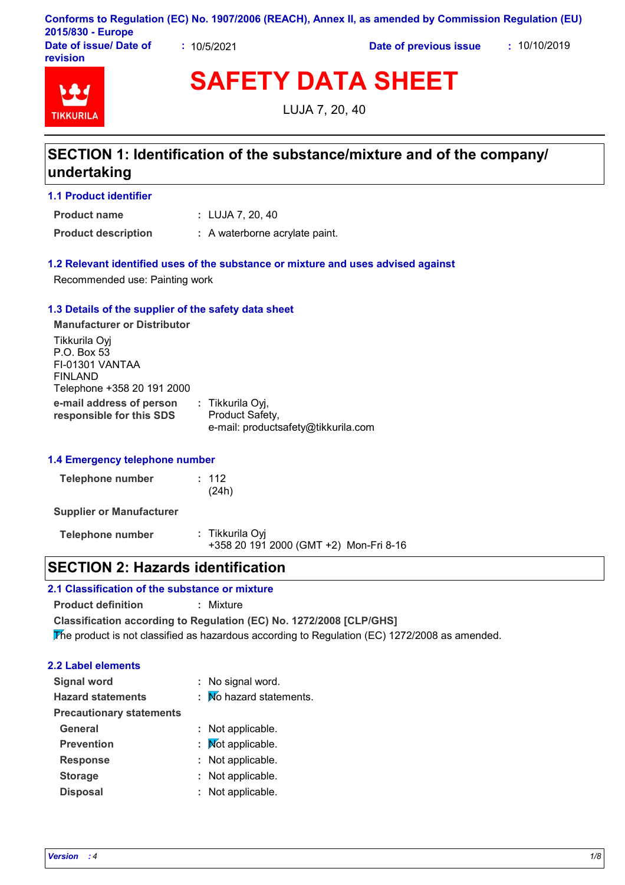| Conforms to Regulation (EC) No. 1907/2006 (REACH), Annex II, as amended by Commission Regulation (EU) |           |                        |              |
|-------------------------------------------------------------------------------------------------------|-----------|------------------------|--------------|
| 2015/830 - Europe                                                                                     |           |                        |              |
| Date of issue/ Date of                                                                                | 10/5/2021 | Date of previous issue | : 10/10/2019 |

**TIKKURIL** 

**revision**

**SAFETY DATA SHEET**

LUJA 7, 20, 40

# **SECTION 1: Identification of the substance/mixture and of the company/ undertaking**

#### **1.1 Product identifier**

LUJA 7, 20, 40 **: Product name**

**Product description :** A waterborne acrylate paint.

### **1.2 Relevant identified uses of the substance or mixture and uses advised against**

Recommended use: Painting work

#### **1.3 Details of the supplier of the safety data sheet**

**e-mail address of person responsible for this SDS :** Tikkurila Oyj, Product Safety, e-mail: productsafety@tikkurila.com **Manufacturer or Distributor** Tikkurila Oyj P.O. Box 53 FI-01301 VANTAA FINLAND Telephone +358 20 191 2000

#### **1.4 Emergency telephone number**

| Telephone number | : 112 |
|------------------|-------|
|                  | (24h) |

**Supplier or Manufacturer**

**Telephone number :** Tikkurila Oyj +358 20 191 2000 (GMT +2) Mon-Fri 8-16

## **SECTION 2: Hazards identification**

### **2.1 Classification of the substance or mixture**

**Product definition :** Mixture

**Classification according to Regulation (EC) No. 1272/2008 [CLP/GHS]**

The product is not classified as hazardous according to Regulation (EC) 1272/2008 as amended.

### **2.2 Label elements**

| <b>Signal word</b>              | : No signal word.       |
|---------------------------------|-------------------------|
| <b>Hazard statements</b>        | : Mo hazard statements. |
| <b>Precautionary statements</b> |                         |
| General                         | : Not applicable.       |
| <b>Prevention</b>               | : Mot applicable.       |
| <b>Response</b>                 | : Not applicable.       |
| <b>Storage</b>                  | : Not applicable.       |
| <b>Disposal</b>                 | : Not applicable.       |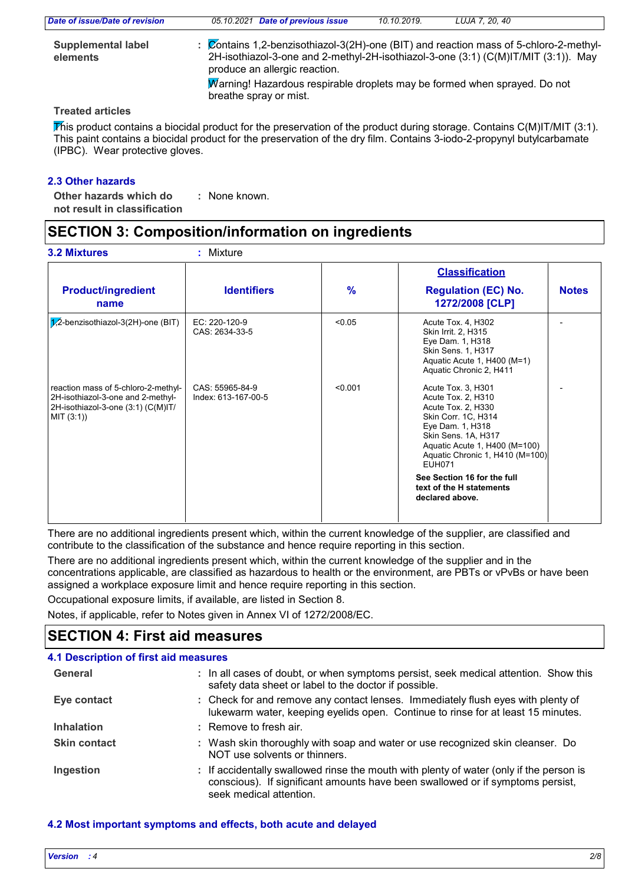| Date of issue/Date of revision        | 05.10.2021 Date of previous issue                                                                                                                                                                            | 10.10.2019. | LUJA 7. 20. 40 |
|---------------------------------------|--------------------------------------------------------------------------------------------------------------------------------------------------------------------------------------------------------------|-------------|----------------|
| <b>Supplemental label</b><br>elements | : Contains 1,2-benzisothiazol-3(2H)-one (BIT) and reaction mass of 5-chloro-2-methyl-<br>2H-isothiazol-3-one and 2-methyl-2H-isothiazol-3-one (3:1) (C(M)IT/MIT (3:1)). May<br>produce an allergic reaction. |             |                |
|                                       | Warning! Hazardous respirable droplets may be formed when sprayed. Do not<br>breathe spray or mist.                                                                                                          |             |                |

#### **Treated articles**

This product contains a biocidal product for the preservation of the product during storage. Contains  $C(M)$ IT/MIT (3:1). This paint contains a biocidal product for the preservation of the dry film. Contains 3-iodo-2-propynyl butylcarbamate (IPBC). Wear protective gloves.

### **2.3 Other hazards**

**Other hazards which do : not result in classification** : None known.

# **SECTION 3: Composition/information on ingredients**

|                                                                                                                              |                                        |               | <b>Classification</b>                                                                                                                                                                                                                                                                               |              |
|------------------------------------------------------------------------------------------------------------------------------|----------------------------------------|---------------|-----------------------------------------------------------------------------------------------------------------------------------------------------------------------------------------------------------------------------------------------------------------------------------------------------|--------------|
| <b>Product/ingredient</b><br>name                                                                                            | <b>Identifiers</b>                     | $\frac{9}{6}$ | <b>Regulation (EC) No.</b><br>1272/2008 [CLP]                                                                                                                                                                                                                                                       | <b>Notes</b> |
| $1/2$ -benzisothiazol-3(2H)-one (BIT)                                                                                        | EC: 220-120-9<br>CAS: 2634-33-5        | < 0.05        | Acute Tox. 4, H302<br>Skin Irrit. 2, H315<br>Eye Dam. 1, H318<br><b>Skin Sens. 1, H317</b><br>Aquatic Acute 1, H400 (M=1)<br>Aquatic Chronic 2, H411                                                                                                                                                |              |
| reaction mass of 5-chloro-2-methyl-<br>2H-isothiazol-3-one and 2-methyl-<br>2H-isothiazol-3-one (3:1) (C(M)IT/<br>MIT (3:1)) | CAS: 55965-84-9<br>Index: 613-167-00-5 | < 0.001       | Acute Tox. 3, H301<br>Acute Tox. 2, H310<br>Acute Tox. 2, H330<br>Skin Corr. 1C, H314<br>Eye Dam. 1, H318<br>Skin Sens. 1A, H317<br>Aquatic Acute 1, H400 (M=100)<br>Aquatic Chronic 1, H410 (M=100)<br><b>EUH071</b><br>See Section 16 for the full<br>text of the H statements<br>declared above. |              |

There are no additional ingredients present which, within the current knowledge of the supplier, are classified and contribute to the classification of the substance and hence require reporting in this section.

There are no additional ingredients present which, within the current knowledge of the supplier and in the concentrations applicable, are classified as hazardous to health or the environment, are PBTs or vPvBs or have been assigned a workplace exposure limit and hence require reporting in this section.

Occupational exposure limits, if available, are listed in Section 8.

Notes, if applicable, refer to Notes given in Annex VI of 1272/2008/EC.

# **SECTION 4: First aid measures**

| 4.1 Description of first aid measures |                                                                                                                                                                                                      |
|---------------------------------------|------------------------------------------------------------------------------------------------------------------------------------------------------------------------------------------------------|
| General                               | : In all cases of doubt, or when symptoms persist, seek medical attention. Show this<br>safety data sheet or label to the doctor if possible.                                                        |
| Eye contact                           | : Check for and remove any contact lenses. Immediately flush eyes with plenty of<br>lukewarm water, keeping eyelids open. Continue to rinse for at least 15 minutes.                                 |
| <b>Inhalation</b>                     | : Remove to fresh air.                                                                                                                                                                               |
| <b>Skin contact</b>                   | : Wash skin thoroughly with soap and water or use recognized skin cleanser. Do<br>NOT use solvents or thinners.                                                                                      |
| Ingestion                             | : If accidentally swallowed rinse the mouth with plenty of water (only if the person is<br>conscious). If significant amounts have been swallowed or if symptoms persist,<br>seek medical attention. |

### **4.2 Most important symptoms and effects, both acute and delayed**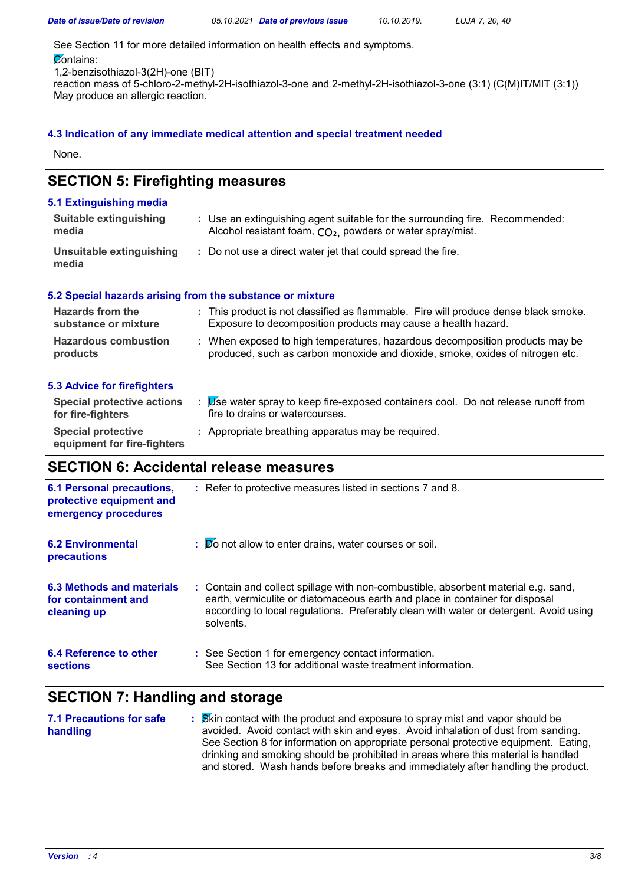| Date of issue/Date of revision    | LUJA 7, 20, 40 |
|-----------------------------------|----------------|
| 05.10.2021 Date of previous issue | 10.10.2019.    |

See Section 11 for more detailed information on health effects and symptoms.

 $\overline{\mathcal{C}}$ ontains:

1,2-benzisothiazol-3(2H)-one (BIT)

reaction mass of 5-chloro-2-methyl-2H-isothiazol-3-one and 2-methyl-2H-isothiazol-3-one (3:1) (C(M)IT/MIT (3:1)) May produce an allergic reaction.

#### **4.3 Indication of any immediate medical attention and special treatment needed**

None.

# **SECTION 5: Firefighting measures**

| 5.1 Extinguishing media           |                                                                                                                                                        |
|-----------------------------------|--------------------------------------------------------------------------------------------------------------------------------------------------------|
| Suitable extinguishing<br>media   | : Use an extinguishing agent suitable for the surrounding fire. Recommended:<br>Alcohol resistant foam, CO <sub>2</sub> , powders or water spray/mist. |
| Unsuitable extinguishing<br>media | : Do not use a direct water jet that could spread the fire.                                                                                            |

#### **5.2 Special hazards arising from the substance or mixture**

| <b>Hazards from the</b><br>substance or mixture | : This product is not classified as flammable. Fire will produce dense black smoke.<br>Exposure to decomposition products may cause a health hazard.          |  |
|-------------------------------------------------|---------------------------------------------------------------------------------------------------------------------------------------------------------------|--|
| <b>Hazardous combustion</b><br>products         | : When exposed to high temperatures, hazardous decomposition products may be<br>produced, such as carbon monoxide and dioxide, smoke, oxides of nitrogen etc. |  |

#### **5.3 Advice for firefighters**

| <b>Special protective actions</b><br>for fire-fighters   | Use water spray to keep fire-exposed containers cool. Do not release runoff from<br>fire to drains or watercourses. |
|----------------------------------------------------------|---------------------------------------------------------------------------------------------------------------------|
| <b>Special protective</b><br>equipment for fire-fighters | : Appropriate breathing apparatus may be required.                                                                  |

# **SECTION 6: Accidental release measures**

| <b>6.1 Personal precautions,</b><br>protective equipment and<br>emergency procedures | : Refer to protective measures listed in sections 7 and 8.                                                                                                                                                                                                               |
|--------------------------------------------------------------------------------------|--------------------------------------------------------------------------------------------------------------------------------------------------------------------------------------------------------------------------------------------------------------------------|
| <b>6.2 Environmental</b><br>precautions                                              | $\mathbf{E}$ $\mathbf{D}$ o not allow to enter drains, water courses or soil.                                                                                                                                                                                            |
| 6.3 Methods and materials<br>for containment and<br>cleaning up                      | : Contain and collect spillage with non-combustible, absorbent material e.g. sand,<br>earth, vermiculite or diatomaceous earth and place in container for disposal<br>according to local regulations. Preferably clean with water or detergent. Avoid using<br>solvents. |
| 6.4 Reference to other<br>sections                                                   | : See Section 1 for emergency contact information.<br>See Section 13 for additional waste treatment information.                                                                                                                                                         |

## **SECTION 7: Handling and storage**

| <b>7.1 Precautions for safe</b> | : Skin contact with the product and exposure to spray mist and vapor should be      |
|---------------------------------|-------------------------------------------------------------------------------------|
| handling                        | avoided. Avoid contact with skin and eyes. Avoid inhalation of dust from sanding.   |
|                                 | See Section 8 for information on appropriate personal protective equipment. Eating, |
|                                 | drinking and smoking should be prohibited in areas where this material is handled   |
|                                 | and stored. Wash hands before breaks and immediately after handling the product.    |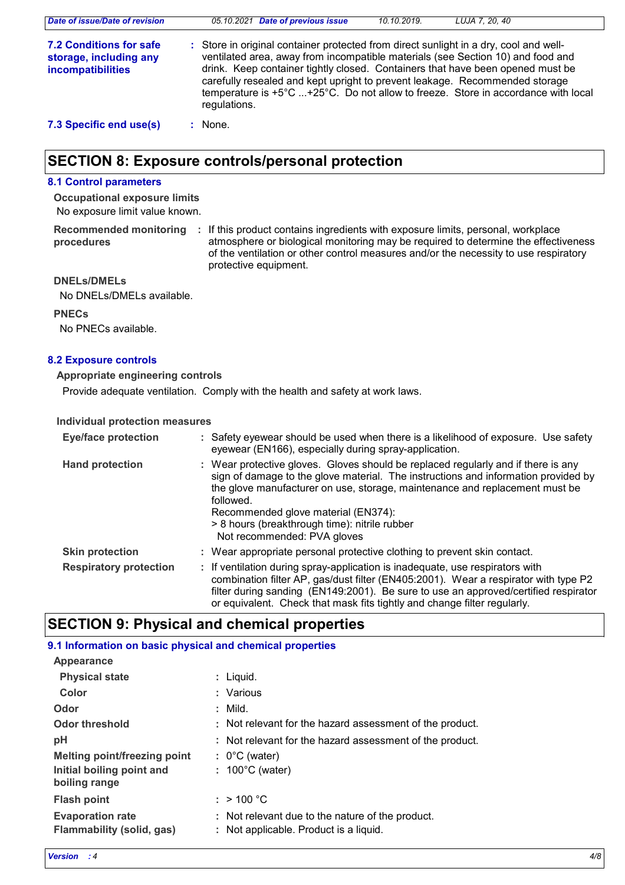| Date of issue/Date of revision                                                | 05.10.2021 Date of previous issue<br>LUJA 7, 20, 40<br>10.10.2019.                                                                                                                                                                                                                                                                                                                                                                             |
|-------------------------------------------------------------------------------|------------------------------------------------------------------------------------------------------------------------------------------------------------------------------------------------------------------------------------------------------------------------------------------------------------------------------------------------------------------------------------------------------------------------------------------------|
| <b>7.2 Conditions for safe</b><br>storage, including any<br>incompatibilities | : Store in original container protected from direct sunlight in a dry, cool and well-<br>ventilated area, away from incompatible materials (see Section 10) and food and<br>drink. Keep container tightly closed. Containers that have been opened must be<br>carefully resealed and kept upright to prevent leakage. Recommended storage<br>temperature is +5°C +25°C. Do not allow to freeze. Store in accordance with local<br>regulations. |
| 7.3 Specific end use(s)                                                       | $:$ None.                                                                                                                                                                                                                                                                                                                                                                                                                                      |

# **SECTION 8: Exposure controls/personal protection**

### **8.1 Control parameters**

No exposure limit value known. **Occupational exposure limits**

**procedures**

**Recommended monitoring**  If this product contains ingredients with exposure limits, personal, workplace **:** atmosphere or biological monitoring may be required to determine the effectiveness of the ventilation or other control measures and/or the necessity to use respiratory protective equipment.

#### **DNELs/DMELs**

No DNELs/DMELs available.

#### **PNECs**

No PNECs available.

#### **8.2 Exposure controls**

#### **Appropriate engineering controls**

Provide adequate ventilation. Comply with the health and safety at work laws.

#### **Individual protection measures**

| <b>Eye/face protection</b>    | : Safety eyewear should be used when there is a likelihood of exposure. Use safety<br>eyewear (EN166), especially during spray-application.                                                                                                                                                                                                                                                |
|-------------------------------|--------------------------------------------------------------------------------------------------------------------------------------------------------------------------------------------------------------------------------------------------------------------------------------------------------------------------------------------------------------------------------------------|
| <b>Hand protection</b>        | : Wear protective gloves. Gloves should be replaced regularly and if there is any<br>sign of damage to the glove material. The instructions and information provided by<br>the glove manufacturer on use, storage, maintenance and replacement must be<br>followed.<br>Recommended glove material (EN374):<br>> 8 hours (breakthrough time): nitrile rubber<br>Not recommended: PVA gloves |
| <b>Skin protection</b>        | : Wear appropriate personal protective clothing to prevent skin contact.                                                                                                                                                                                                                                                                                                                   |
| <b>Respiratory protection</b> | : If ventilation during spray-application is inadequate, use respirators with<br>combination filter AP, gas/dust filter (EN405:2001). Wear a respirator with type P2<br>filter during sanding (EN149:2001). Be sure to use an approved/certified respirator<br>or equivalent. Check that mask fits tightly and change filter regularly.                                                    |

## **SECTION 9: Physical and chemical properties**

#### **9.1 Information on basic physical and chemical properties**

| : Liguid.                                                                                  |
|--------------------------------------------------------------------------------------------|
| : Various                                                                                  |
| $:$ Mild.                                                                                  |
| : Not relevant for the hazard assessment of the product.                                   |
| : Not relevant for the hazard assessment of the product.                                   |
| $: 0^{\circ}$ C (water)                                                                    |
| : $100^{\circ}$ C (water)                                                                  |
| : $> 100 °C$                                                                               |
| : Not relevant due to the nature of the product.<br>: Not applicable. Product is a liquid. |
|                                                                                            |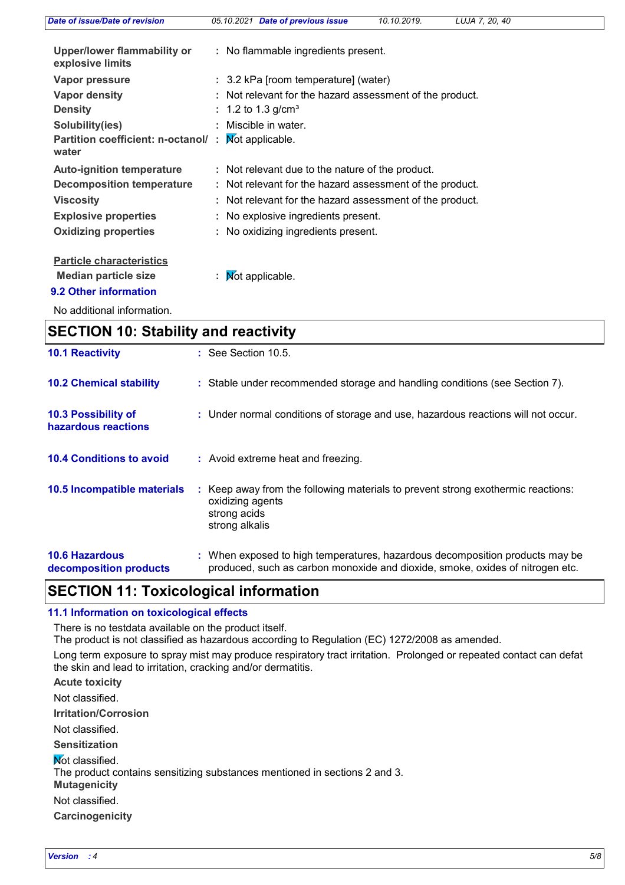| <b>Date of issue/Date of revision</b>             |  | 05.10.2021 Date of previous issue                        | 10.10.2019. | LUJA 7, 20, 40 |  |
|---------------------------------------------------|--|----------------------------------------------------------|-------------|----------------|--|
| Upper/lower flammability or<br>explosive limits   |  | : No flammable ingredients present.                      |             |                |  |
| Vapor pressure                                    |  | : 3.2 kPa [room temperature] (water)                     |             |                |  |
| Vapor density                                     |  | : Not relevant for the hazard assessment of the product. |             |                |  |
| <b>Density</b>                                    |  | : 1.2 to 1.3 g/cm <sup>3</sup>                           |             |                |  |
| Solubility(ies)                                   |  | : Miscible in water.                                     |             |                |  |
| <b>Partition coefficient: n-octanol/</b><br>water |  | Not applicable.                                          |             |                |  |
| <b>Auto-ignition temperature</b>                  |  | : Not relevant due to the nature of the product.         |             |                |  |
| <b>Decomposition temperature</b>                  |  | : Not relevant for the hazard assessment of the product. |             |                |  |
| <b>Viscosity</b>                                  |  | : Not relevant for the hazard assessment of the product. |             |                |  |
| <b>Explosive properties</b>                       |  | : No explosive ingredients present.                      |             |                |  |
| <b>Oxidizing properties</b>                       |  | : No oxidizing ingredients present.                      |             |                |  |
| <b>Particle characteristics</b>                   |  |                                                          |             |                |  |
| <b>Median particle size</b>                       |  | : $\mathsf{M}$ ot applicable.                            |             |                |  |
| 9.2 Other information                             |  |                                                          |             |                |  |
|                                                   |  |                                                          |             |                |  |

No additional information.

| <b>SECTION 10: Stability and reactivity</b>     |                                                                                                                                                               |  |  |  |
|-------------------------------------------------|---------------------------------------------------------------------------------------------------------------------------------------------------------------|--|--|--|
| <b>10.1 Reactivity</b>                          | $\therefore$ See Section 10.5.                                                                                                                                |  |  |  |
| <b>10.2 Chemical stability</b>                  | : Stable under recommended storage and handling conditions (see Section 7).                                                                                   |  |  |  |
| 10.3 Possibility of<br>hazardous reactions      | : Under normal conditions of storage and use, hazardous reactions will not occur.                                                                             |  |  |  |
| <b>10.4 Conditions to avoid</b>                 | : Avoid extreme heat and freezing.                                                                                                                            |  |  |  |
| 10.5 Incompatible materials                     | : Keep away from the following materials to prevent strong exothermic reactions:<br>oxidizing agents<br>strong acids<br>strong alkalis                        |  |  |  |
| <b>10.6 Hazardous</b><br>decomposition products | : When exposed to high temperatures, hazardous decomposition products may be<br>produced, such as carbon monoxide and dioxide, smoke, oxides of nitrogen etc. |  |  |  |

# **SECTION 11: Toxicological information**

#### **11.1 Information on toxicological effects**

There is no testdata available on the product itself.

The product is not classified as hazardous according to Regulation (EC) 1272/2008 as amended.

Long term exposure to spray mist may produce respiratory tract irritation. Prolonged or repeated contact can defat the skin and lead to irritation, cracking and/or dermatitis.

**Acute toxicity**

Not classified.

**Irritation/Corrosion**

Not classified.

**Sensitization**

**Not classified.** 

The product contains sensitizing substances mentioned in sections 2 and 3.

**Mutagenicity**

Not classified.

**Carcinogenicity**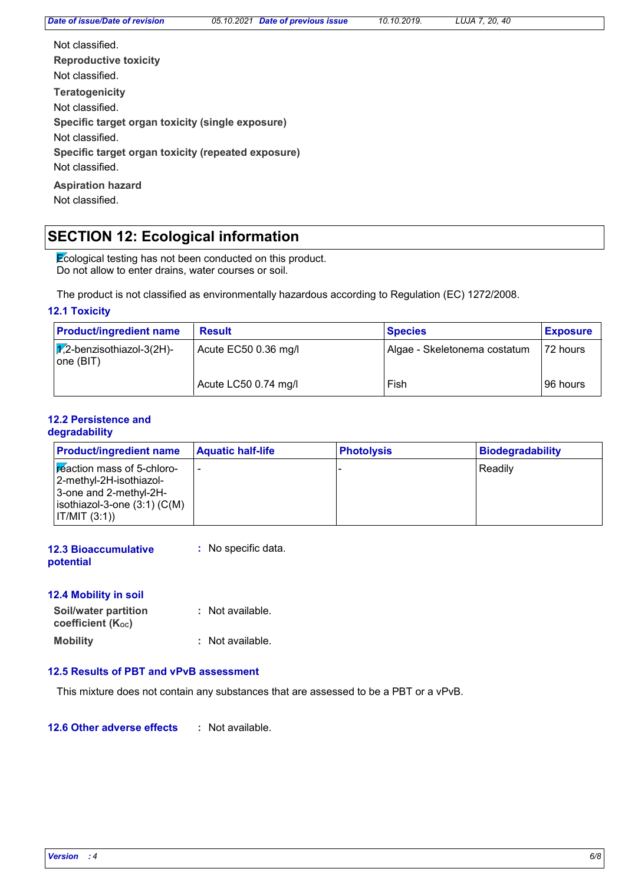**Teratogenicity Reproductive toxicity Specific target organ toxicity (single exposure) Specific target organ toxicity (repeated exposure)** Not classified. Not classified. Not classified. Not classified.

Not classified.

**Aspiration hazard**

Not classified.

# **SECTION 12: Ecological information**

Ecological testing has not been conducted on this product. Do not allow to enter drains, water courses or soil.

The product is not classified as environmentally hazardous according to Regulation (EC) 1272/2008.

#### **12.1 Toxicity**

| <b>Product/ingredient name</b>                   | <b>Result</b>        | <b>Species</b>               | <b>Exposure</b> |
|--------------------------------------------------|----------------------|------------------------------|-----------------|
| $\sqrt{1/2}$ -benzisothiazol-3(2H)-<br>one (BIT) | Acute EC50 0.36 mg/l | Algae - Skeletonema costatum | 172 hours       |
|                                                  | Acute LC50 0.74 mg/l | Fish                         | 96 hours        |

#### **12.2 Persistence and degradability**

| <b>Product/ingredient name</b>                                                                                                             | <b>Aquatic half-life</b> | <b>Photolysis</b> | <b>Biodegradability</b> |
|--------------------------------------------------------------------------------------------------------------------------------------------|--------------------------|-------------------|-------------------------|
| <b>F</b> eaction mass of 5-chloro-<br> 2-methyl-2H-isothiazol-<br>3-one and 2-methyl-2H-<br>isothiazol-3-one $(3:1)$ (C(M)<br> IT/MIT(3:1) | -                        |                   | Readily                 |

| <b>12.3 Bioaccumulative</b> | : No specific data. |
|-----------------------------|---------------------|
| potential                   |                     |

### **12.4 Mobility in soil**

| <b>Soil/water partition</b><br>coefficient (Koc) | : Not available. |
|--------------------------------------------------|------------------|
| <b>Mobility</b>                                  | : Not available. |

#### **12.5 Results of PBT and vPvB assessment**

This mixture does not contain any substances that are assessed to be a PBT or a vPvB.

**12.6 Other adverse effects :**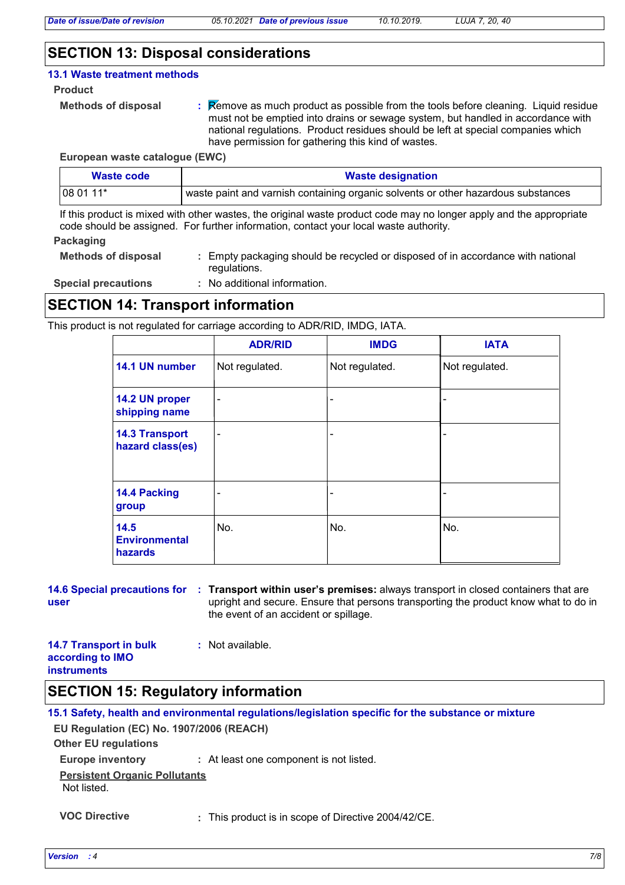### **SECTION 13: Disposal considerations**

#### **13.1 Waste treatment methods**

**Product**

```
Methods of disposal :
```
Remove as much product as possible from the tools before cleaning. Liquid residue must not be emptied into drains or sewage system, but handled in accordance with national regulations. Product residues should be left at special companies which have permission for gathering this kind of wastes.

**European waste catalogue (EWC)**

| Waste code | <b>Waste designation</b>                                                          |
|------------|-----------------------------------------------------------------------------------|
| $1080111*$ | waste paint and varnish containing organic solvents or other hazardous substances |

If this product is mixed with other wastes, the original waste product code may no longer apply and the appropriate code should be assigned. For further information, contact your local waste authority.

#### **Packaging**

**Methods of disposal :** Empty packaging should be recycled or disposed of in accordance with national regulations.

**Special precautions :** No additional information.

## **SECTION 14: Transport information**

This product is not regulated for carriage according to ADR/RID, IMDG, IATA.

|                                           | <b>ADR/RID</b> | <b>IMDG</b>              | <b>IATA</b>    |
|-------------------------------------------|----------------|--------------------------|----------------|
| 14.1 UN number                            | Not regulated. | Not regulated.           | Not regulated. |
| 14.2 UN proper<br>shipping name           | $\blacksquare$ | $\overline{\phantom{a}}$ |                |
| <b>14.3 Transport</b><br>hazard class(es) | $\blacksquare$ | ۰                        |                |
| 14.4 Packing<br>group                     |                | -                        |                |
| 14.5<br><b>Environmental</b><br>hazards   | No.            | No.                      | No.            |

**user**

**14.6 Special precautions for Transport within user's premises:** always transport in closed containers that are **:** upright and secure. Ensure that persons transporting the product know what to do in the event of an accident or spillage.

| <b>14.7 Transport in bulk</b> | : Not available. |
|-------------------------------|------------------|
| according to IMO              |                  |
| <b>instruments</b>            |                  |

### **SECTION 15: Regulatory information**

**Other EU regulations Europe inventory :** At least one component is not listed. **15.1 Safety, health and environmental regulations/legislation specific for the substance or mixture EU Regulation (EC) No. 1907/2006 (REACH) Persistent Organic Pollutants** Not listed.

**VOC Directive :** This product is in scope of Directive 2004/42/CE.